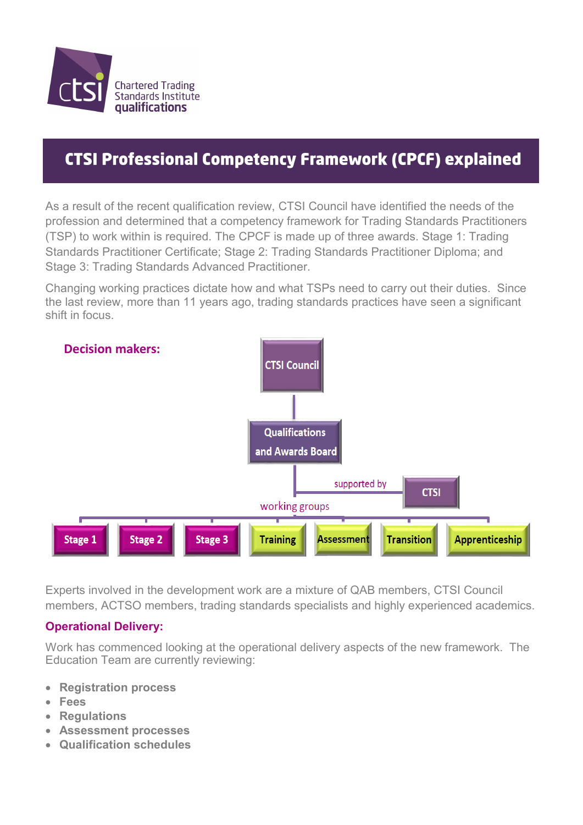

## **CTSI Professional Competency Framework (CPCF) explained**

As a result of the recent qualification review, CTSI Council have identified the needs of the profession and determined that a competency framework for Trading Standards Practitioners (TSP) to work within is required. The CPCF is made up of three awards. Stage 1: Trading Standards Practitioner Certificate; Stage 2: Trading Standards Practitioner Diploma; and Stage 3: Trading Standards Advanced Practitioner.

Changing working practices dictate how and what TSPs need to carry out their duties. Since the last review, more than 11 years ago, trading standards practices have seen a significant shift in focus.



Experts involved in the development work are a mixture of QAB members, CTSI Council members, ACTSO members, trading standards specialists and highly experienced academics.

#### **Operational Delivery:**

Work has commenced looking at the operational delivery aspects of the new framework. The Education Team are currently reviewing:

- **Registration process**
- **Fees**
- **Regulations**
- **Assessment processes**
- **Qualification schedules**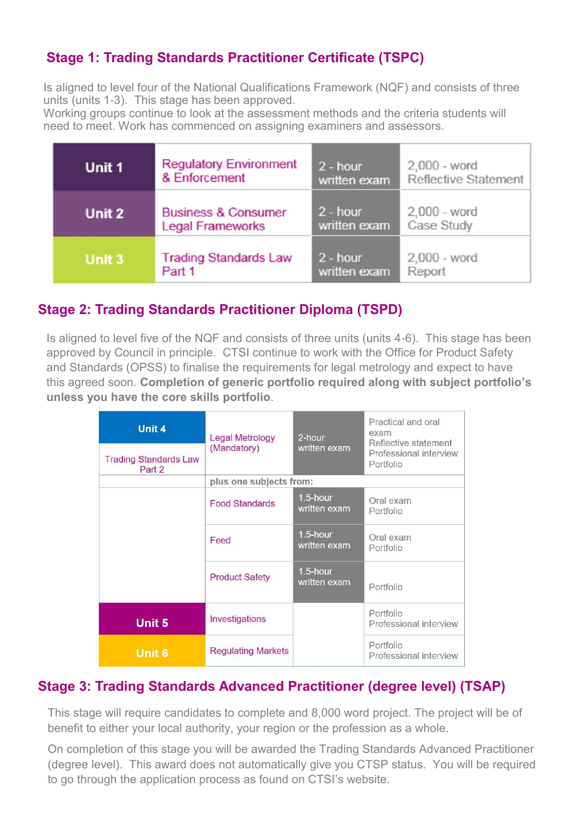### **Stage 1: Trading Standards Practitioner Certificate (TSPC)**

Is aligned to level four of the National Qualifications Framework (NQF) and consists of three units (units 1-3). This stage has been approved.

Working groups continue to look at the assessment methods and the criteria students will need to meet. Work has commenced on assigning examiners and assessors.

| Unit 1 | <b>Regulatory Environment</b>  | $2 - hour$   | 2,000 - word         |
|--------|--------------------------------|--------------|----------------------|
|        | & Enforcement                  | written exam | Reflective Statement |
| Unit 2 | <b>Business &amp; Consumer</b> | $2 - hour$   | $2,000 - word$       |
|        | <b>Legal Frameworks</b>        | written exam | Case Study           |
| Unit 3 | <b>Trading Standards Law</b>   | $2 - hour$   | $2,000 - word$       |
|        | Part 1                         | written exam | Report               |

#### **Stage 2: Trading Standards Practitioner Diploma (TSPD)**

Is aligned to level five of the NQF and consists of three units (units 4-6). This stage has been approved by Council in principle. CTSI continue to work with the Office for Product Safety and Standards (OPSS) to finalise the requirements for legal metrology and expect to have this agreed soon. **Completion of generic portfolio required along with subject portfolio's unless you have the core skills portfolio**.

| Unit 4<br><b>Trading Standards Law</b> | <b>Legal Metrology</b><br>(Mandatory) | 2-hour<br>written exam      | Practical and oral<br>exam<br>Reflective statement<br>Professional interview<br>Portfolio |
|----------------------------------------|---------------------------------------|-----------------------------|-------------------------------------------------------------------------------------------|
| Part 2                                 |                                       |                             |                                                                                           |
|                                        | plus one subjects from:               |                             |                                                                                           |
|                                        | <b>Food Standards</b>                 | 1.5-hour<br>written exam    | Oral exam<br>Portfolio                                                                    |
|                                        | Feed                                  | $1.5$ -hour<br>written exam | Oral exam<br>Portfolio                                                                    |
|                                        | <b>Product Safety</b>                 | 1.5-hour<br>written exam    | Portfolio                                                                                 |
| Unit 5                                 | Investigations                        |                             | Portfolio<br>Professional interview                                                       |
| <b>Unit 6</b>                          | <b>Regulating Markets</b>             |                             | Portfolio<br>Professional interview                                                       |

#### **Stage 3: Trading Standards Advanced Practitioner (degree level) (TSAP)**

This stage will require candidates to complete and 8,000 word project. The project will be of benefit to either your local authority, your region or the profession as a whole.

On completion of this stage you will be awarded the Trading Standards Advanced Practitioner (degree level). This award does not automatically give you CTSP status. You will be required to go through the application process as found on CTSI's website.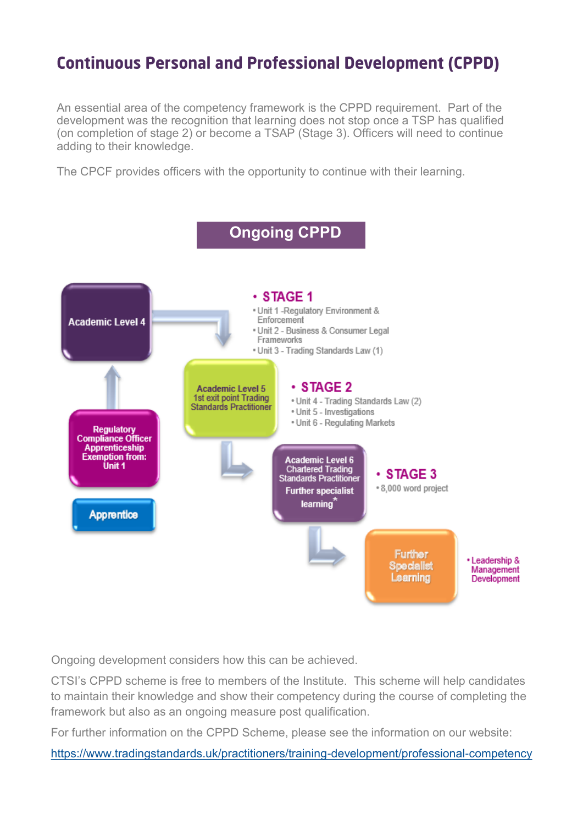## **Continuous Personal and Professional Development (CPPD)**

An essential area of the competency framework is the CPPD requirement. Part of the development was the recognition that learning does not stop once a TSP has qualified (on completion of stage 2) or become a TSAP (Stage 3). Officers will need to continue adding to their knowledge.

The CPCF provides officers with the opportunity to continue with their learning.



Ongoing development considers how this can be achieved.

CTSI's CPPD scheme is free to members of the Institute. This scheme will help candidates to maintain their knowledge and show their competency during the course of completing the framework but also as an ongoing measure post qualification.

For further information on the CPPD Scheme, please see the information on our website:

<https://www.tradingstandards.uk/practitioners/training-development/professional-competency>